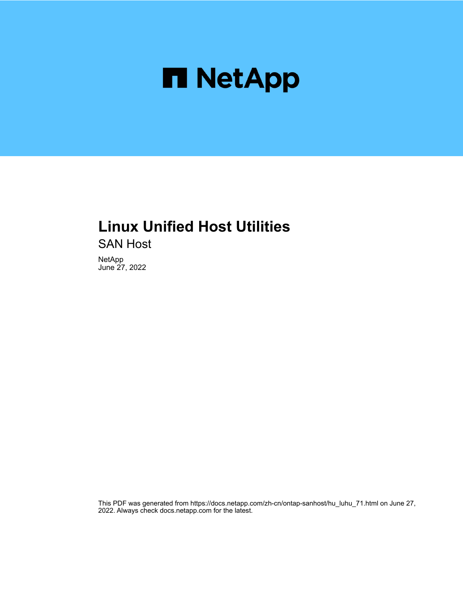

## **Linux Unified Host Utilities**

SAN Host

NetApp June 27, 2022

This PDF was generated from https://docs.netapp.com/zh-cn/ontap-sanhost/hu\_luhu\_71.html on June 27, 2022. Always check docs.netapp.com for the latest.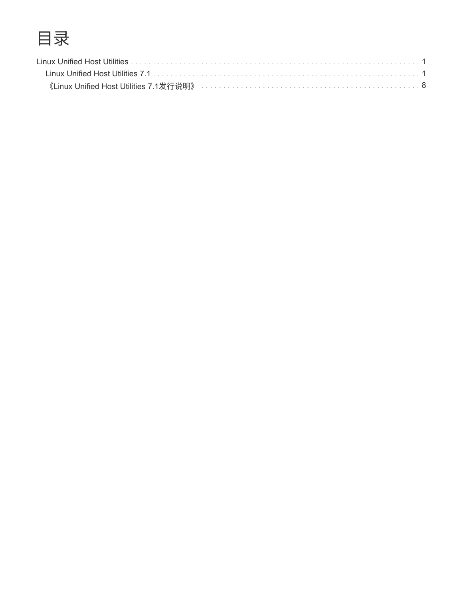# 目录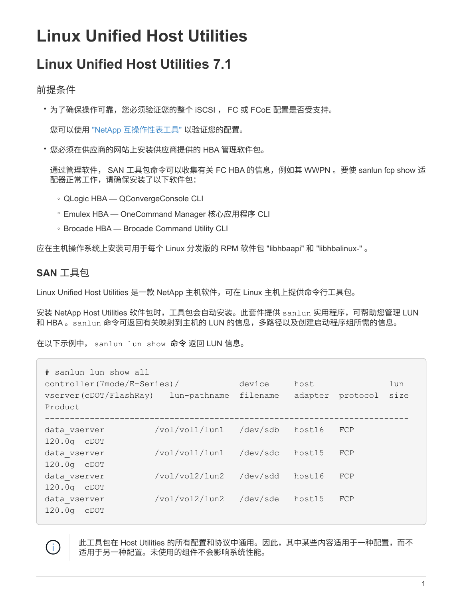# <span id="page-2-0"></span>**Linux Unified Host Utilities**

## <span id="page-2-1"></span>**Linux Unified Host Utilities 7.1**

## 前提条件

• 为了确保操作可靠,您必须验证您的整个 iSCSI , FC 或 FCoE 配置是否受支持。

您可以使用 ["NetApp](https://mysupport.netapp.com/matrix/imt.jsp?components=65623;64703;&solution=1&isHWU&src=IMT) [互操作性表工具](https://mysupport.netapp.com/matrix/imt.jsp?components=65623;64703;&solution=1&isHWU&src=IMT)["](https://mysupport.netapp.com/matrix/imt.jsp?components=65623;64703;&solution=1&isHWU&src=IMT) 以验证您的配置。

• 您必须在供应商的网站上安装供应商提供的 HBA 管理软件包。

通过管理软件, SAN 工具包命令可以收集有关 FC HBA 的信息,例如其 WWPN 。要使 sanlun fcp show 适 配器正常工作,请确保安装了以下软件包:

- QLogic HBA QConvergeConsole CLI
- Emulex HBA OneCommand Manager 核心应用程序 CLI
- Brocade HBA Brocade Command Utility CLI

应在主机操作系统上安装可用于每个 Linux 分发版的 RPM 软件包 "libhbaapi" 和 "libhbalinux-" 。

### **SAN** 工具包

 $\left(\begin{smallmatrix} 1\\1\end{smallmatrix}\right)$ 

Linux Unified Host Utilities 是一款 NetApp 主机软件,可在 Linux 主机上提供命令行工具包。

安装 NetApp Host Utilities 软件包时,工具包会自动安装。此套件提供 sanlun 实用程序,可帮助您管理 LUN 和 HBA 。sanlun 命令可返回有关映射到主机的 LUN 的信息,多路径以及创建启动程序组所需的信息。

在以下示例中, sanlun lun show 命令 返回 LUN 信息。

| # sanlun lun show all<br>controller(7mode/E-Series)/<br>vserver(cDOT/FlashRay)<br>Product | lun-pathname   | device<br>filename | host<br>adapter | protocol | lun<br>size |
|-------------------------------------------------------------------------------------------|----------------|--------------------|-----------------|----------|-------------|
| data vserver<br>$120.0q$ $CDOT$                                                           | /vol/vol1/lun1 | /dev/sdb           | host16          | FCP      |             |
| data vserver<br>120.0g cDOT                                                               | /vol/vol1/lun1 | /dev/sdc           | host15          | FCP      |             |
| data vserver<br>120.0g cDOT                                                               | /vol/vol2/lun2 | /dev/sdd           | host16          | FCP      |             |
| data vserver<br>120.0q<br>CDOT                                                            | /vol/vol2/lun2 | /dev/sde           | host15          | FCP      |             |

此工具包在 Host Utilities 的所有配置和协议中通用。因此,其中某些内容适用于一种配置,而不 适用于另一种配置。未使用的组件不会影响系统性能。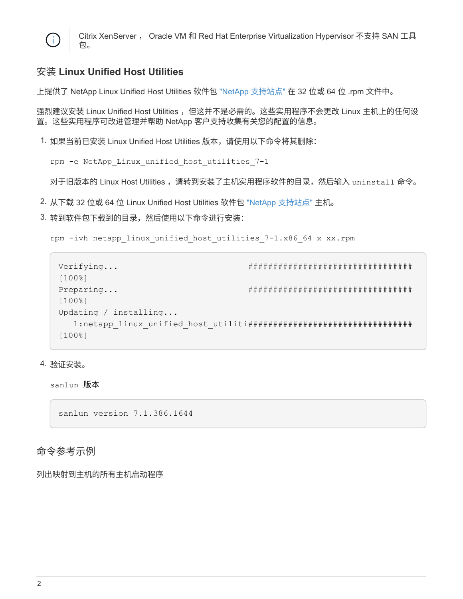

Citrix XenServer , Oracle VM 和 Red Hat Enterprise Virtualization Hypervisor 不支持 SAN 工具 包。

## 安装 **Linux Unified Host Utilities**

上提供了 NetApp Linux Unified Host Utilities 软件包 ["NetApp](https://mysupport.netapp.com/NOW/cgi-bin/software/?product=Host+Utilities+-+SAN&platform=Linux) [支持站点](https://mysupport.netapp.com/NOW/cgi-bin/software/?product=Host+Utilities+-+SAN&platform=Linux)["](https://mysupport.netapp.com/NOW/cgi-bin/software/?product=Host+Utilities+-+SAN&platform=Linux) 在 32 位或 64 位 .rpm 文件中。

强烈建议安装 Linux Unified Host Utilities ,但这并不是必需的。这些实用程序不会更改 Linux 主机上的任何设 置。这些实用程序可改进管理并帮助 NetApp 客户支持收集有关您的配置的信息。

1. 如果当前已安装 Linux Unified Host Utilities 版本,请使用以下命令将其删除:

```
rpm -e NetApp_Linux_unified_host_utilities_7-1
```
对于旧版本的 Linux Host Utilities ,请转到安装了主机实用程序软件的目录,然后输入 uninstall 命令。

- 2. 从下载 32 位或 64 位 Linux Unified Host Utilities 软件包 ["NetApp](https://mysupport.netapp.com/NOW/cgi-bin/software/?product=Host+Utilities+-+SAN&platform=Linux) [支持站点](https://mysupport.netapp.com/NOW/cgi-bin/software/?product=Host+Utilities+-+SAN&platform=Linux)["](https://mysupport.netapp.com/NOW/cgi-bin/software/?product=Host+Utilities+-+SAN&platform=Linux) 主机。
- 3. 转到软件包下载到的目录,然后使用以下命令进行安装:

```
rpm -ivh netapp linux unified host utilities 7-1.x86 64 x xx.rpm
```

```
Verifying... #################################
[100%]
Preparing... #################################
[100%]
Updating / installing...
    1:netapp_linux_unified_host_utiliti#################################
[100%]
```
4. 验证安装。

sanlun 版本

sanlun version 7.1.386.1644

#### 命令参考示例

列出映射到主机的所有主机启动程序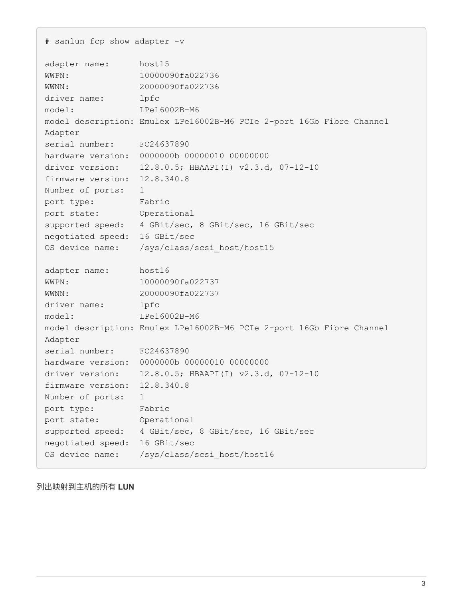```
# sanlun fcp show adapter -v
adapter name: host15
WWPN: 10000090fa022736
WWNN: 20000090fa022736
driver name: lpfc
model: LPe16002B-M6
model description: Emulex LPe16002B-M6 PCIe 2-port 16Gb Fibre Channel
Adapter
serial number: FC24637890
hardware version: 0000000b 00000010 00000000
driver version: 12.8.0.5; HBAAPI(I) v2.3.d, 07-12-10
firmware version: 12.8.340.8
Number of ports: 1
port type: Fabric
port state: Operational
supported speed: 4 GBit/sec, 8 GBit/sec, 16 GBit/sec
negotiated speed: 16 GBit/sec
OS device name: /sys/class/scsi host/host15
adapter name: host16
WWPN: 10000090fa022737
WWNN: 20000090fa022737
driver name: lpfc
model: LPe16002B-M6
model description: Emulex LPe16002B-M6 PCIe 2-port 16Gb Fibre Channel
Adapter
serial number: FC24637890
hardware version: 0000000b 00000010 00000000
driver version: 12.8.0.5; HBAAPI(I) v2.3.d, 07-12-10
firmware version: 12.8.340.8
Number of ports: 1
port type: Fabric
port state: Operational
supported speed: 4 GBit/sec, 8 GBit/sec, 16 GBit/sec
negotiated speed: 16 GBit/sec
OS device name: /sys/class/scsi host/host16
```
列出映射到主机的所有 **LUN**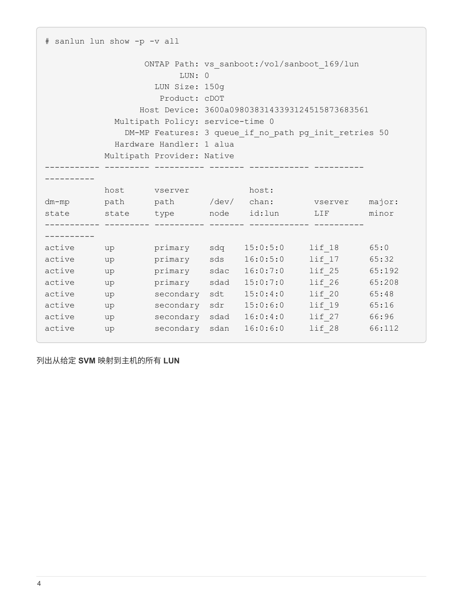| # sanlun lun show -p -v all  |                                                                                                                                                                                                                                                                                                   |              |  |                                               |                                                                                      |       |  |
|------------------------------|---------------------------------------------------------------------------------------------------------------------------------------------------------------------------------------------------------------------------------------------------------------------------------------------------|--------------|--|-----------------------------------------------|--------------------------------------------------------------------------------------|-------|--|
|                              | ONTAP Path: vs sanboot:/vol/sanboot 169/lun<br>LUN: 0<br>LUN Size: 150g<br>Product: cDOT<br>Host Device: 3600a0980383143393124515873683561<br>Multipath Policy: service-time 0<br>DM-MP Features: 3 queue if no path pg init retries 50<br>Hardware Handler: 1 alua<br>Multipath Provider: Native |              |  |                                               |                                                                                      |       |  |
|                              |                                                                                                                                                                                                                                                                                                   |              |  |                                               |                                                                                      |       |  |
|                              |                                                                                                                                                                                                                                                                                                   | host vserver |  | host:                                         | dm-mp path path /dev/ chan: vserver major:<br>state state type node id:1un LIF minor |       |  |
|                              |                                                                                                                                                                                                                                                                                                   |              |  |                                               |                                                                                      |       |  |
| active up                    |                                                                                                                                                                                                                                                                                                   |              |  |                                               | primary sdq 15:0:5:0 lif 18 65:0                                                     |       |  |
| active up<br>active<br>up up |                                                                                                                                                                                                                                                                                                   |              |  | primary sds 16:0:5:0<br>primary sdac 16:0:7:0 | $l$ if $17$<br>lif 25 65:192                                                         | 65:32 |  |
| active                       | up                                                                                                                                                                                                                                                                                                | primary      |  | sdad 15:0:7:0                                 | lif 26 65:208                                                                        |       |  |
| active                       | up                                                                                                                                                                                                                                                                                                | secondary    |  | sdt 15:0:4:0                                  | lif 20 65:48                                                                         |       |  |
| active                       | up                                                                                                                                                                                                                                                                                                | secondary    |  | sdr 15:0:6:0                                  | lif 19 65:16                                                                         |       |  |
| active                       | up                                                                                                                                                                                                                                                                                                |              |  | secondary sdad 16:0:4:0                       | lif 27 66:96                                                                         |       |  |
| active                       | up                                                                                                                                                                                                                                                                                                |              |  | secondary sdan 16:0:6:0                       | lif 28 66:112                                                                        |       |  |

列出从给定 **SVM** 映射到主机的所有 **LUN**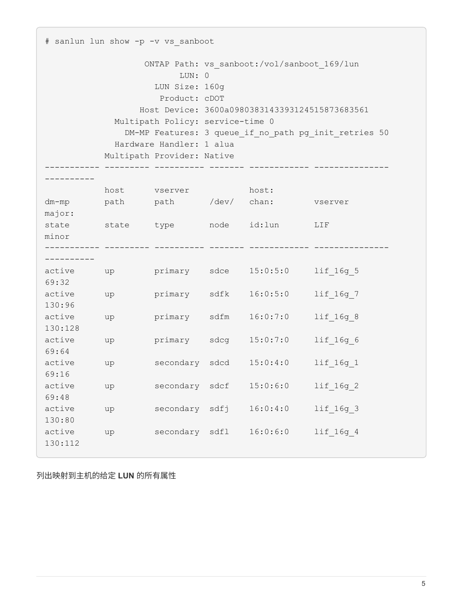# sanlun lun show -p -v vs\_sanboot ONTAP Path: vs sanboot:/vol/sanboot 169/lun LUN: 0 LUN Size: 160g Product: cDOT Host Device: 3600a0980383143393124515873683561 Multipath Policy: service-time 0 DM-MP Features: 3 queue if no path pg\_init\_retries 50 Hardware Handler: 1 alua Multipath Provider: Native ----------- --------- ---------- ------- ------------ --------------- --------- host vserver host: dm-mp path path /dev/ chan: vserver major: state state type node id:lun LIF minor ----------- --------- ---------- ------- ------------ --------------- --------- active up primary sdce 15:0:5:0 lif 16g 5 69:32 active up primary sdfk 16:0:5:0 lif 16g 7 130:96 active up primary sdfm  $16:0:7:0$  lif 16g 8 130:128 active up primary sdcg 15:0:7:0 lif 16g 6 69:64 active up secondary sdcd 15:0:4:0 lif 16g 1 69:16 active up secondary sdcf 15:0:6:0 lif\_16g\_2 69:48 active up secondary sdfj 16:0:4:0 lif\_16g\_3 130:80 active up secondary sdfl  $16:0:6:0$  lif 16g 4 130:112

列出映射到主机的给定 **LUN** 的所有属性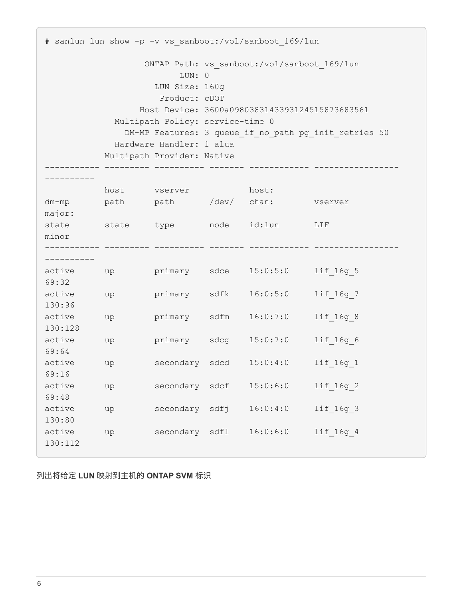# sanlun lun show -p -v vs sanboot:/vol/sanboot 169/lun ONTAP Path: vs sanboot:/vol/sanboot 169/lun LUN: 0 LUN Size: 160g Product: cDOT Host Device: 3600a0980383143393124515873683561 Multipath Policy: service-time 0 DM-MP Features: 3 queue if no path pg\_init\_retries 50 Hardware Handler: 1 alua Multipath Provider: Native ----------- --------- ---------- ------- ------------ ----------------- --------- host vserver host: dm-mp path path /dev/ chan: vserver major: state state type node id:lun LIF minor ----------- --------- ---------- ------- ------------ ----------------- --------- active up primary sdce 15:0:5:0 lif 16g 5 69:32 active up primary sdfk 16:0:5:0 lif 16g 7 130:96 active up primary sdfm  $16:0:7:0$  lif 16g 8 130:128 active up primary sdcg 15:0:7:0 lif 16g 6 69:64 active up secondary sdcd 15:0:4:0 lif 16g 1 69:16 active up secondary sdcf 15:0:6:0 lif\_16g\_2 69:48 active up secondary sdfj 16:0:4:0 lif 16g 3 130:80 active up secondary sdfl  $16:0:6:0$  lif 16g 4 130:112

列出将给定 **LUN** 映射到主机的 **ONTAP SVM** 标识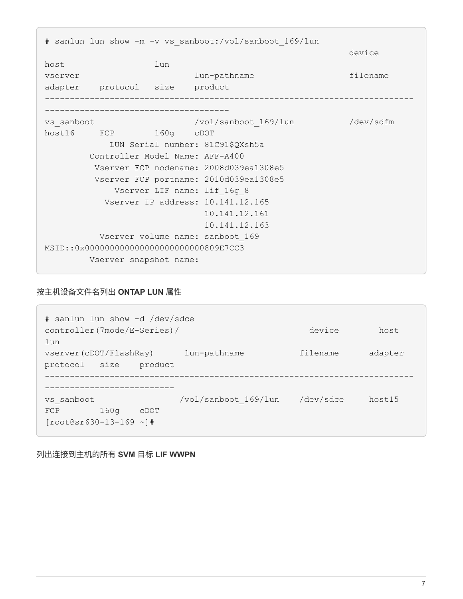# sanlun lun show -m -v vs sanboot:/vol/sanboot 169/lun device and the contract of the contract of the contract of the contract of the contract of the contract of the host lun vserver lun-pathname filename adapter protocol size product -------------------------------------------------------------------------- ------------------------------------ vs\_sanboot /vol/sanboot\_169/lun /dev/sdfm host16 FCP 160g cDOT LUN Serial number: 81C91\$QXsh5a Controller Model Name: AFF-A400 Vserver FCP nodename: 2008d039ea1308e5 Vserver FCP portname: 2010d039ea1308e5 Vserver LIF name: lif\_16g\_8 Vserver IP address: 10.141.12.165 10.141.12.161 10.141.12.163 Vserver volume name: sanboot\_169 MSID::0x000000000000000000000000809E7CC3 Vserver snapshot name:

#### 按主机设备文件名列出 **ONTAP LUN** 属性

# sanlun lun show -d /dev/sdce controller(7mode/E-Series)/ device host lun vserver(cDOT/FlashRay) lun-pathname filename adapter protocol size product -------------------------------------------------------------------------- ------------------------- vs sanboot /vol/sanboot\_169/lun /dev/sdce host15 FCP 160g cDOT [root@sr630-13-169 ~]#

列出连接到主机的所有 **SVM** 目标 **LIF WWPN**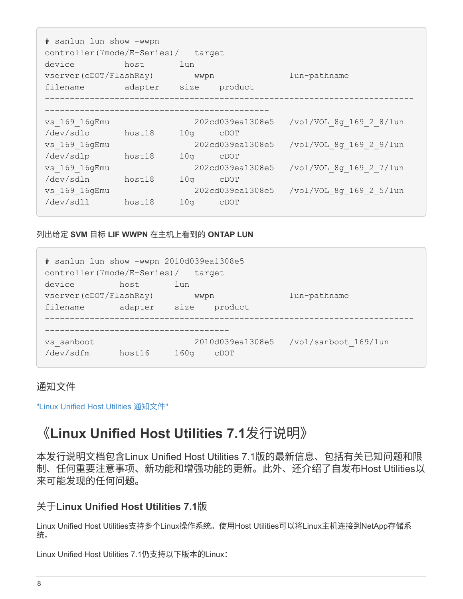# sanlun lun show -wwpn controller(7mode/E-Series)/ target device host lun vserver(cDOT/FlashRay) wwpn lun-pathname filename adapter size product -------------------------------------------------------------------------- -------------------------------------------- vs 169 16gEmu 202cd039ea1308e5 /vol/VOL 8g 169 2 8/lun /dev/sdlo host18 10g cDOT vs 169 16gEmu 202cd039ea1308e5 /vol/VOL 8g 169 2 9/lun /dev/sdlp host18 10g cDOT vs 169 16gEmu 202cd039ea1308e5 /vol/VOL 8g 169 2 7/lun /dev/sdln host18 10g cDOT vs 169 16gEmu 202cd039ea1308e5 /vol/VOL 8g 169 2 5/lun /dev/sdll host18 10g cDOT

列出给定 **SVM** 目标 **LIF WWPN** 在主机上看到的 **ONTAP LUN**

| # sanlun lun show -wwpn 2010d039ea1308e5<br>controller(7mode/E-Series)/ |         |                  | target           |                      |
|-------------------------------------------------------------------------|---------|------------------|------------------|----------------------|
| device                                                                  | host    | lun              |                  |                      |
| vserver (cDOT/FlashRay)                                                 |         | wwpn             |                  | lun-pathname         |
| filename                                                                | adapter | size             | product          |                      |
|                                                                         |         |                  |                  |                      |
|                                                                         |         |                  |                  |                      |
| vs sanboot                                                              |         |                  | 2010d039ea1308e5 | /vol/sanboot 169/lun |
| /dev/sdfm                                                               | host16  | 160 <sub>q</sub> | CDOT             |                      |

## 通知文件

<span id="page-9-0"></span>["Linux Unified Host Utilities](https://library.netapp.com/ecm/ecm_download_file/ECMLP2559115) [通知文件](https://library.netapp.com/ecm/ecm_download_file/ECMLP2559115)["](https://library.netapp.com/ecm/ecm_download_file/ECMLP2559115)

## 《**Linux Unified Host Utilities 7.1**发行说明》

本发行说明文档包含Linux Unified Host Utilities 7.1版的最新信息、包括有关已知问题和限 制、任何重要注意事项、新功能和增强功能的更新。此外、还介绍了自发布Host Utilities以 来可能发现的任何问题。

## 关于**Linux Unified Host Utilities 7.1**版

Linux Unified Host Utilities支持多个Linux操作系统。使用Host Utilities可以将Linux主机连接到NetApp存储系 统。

Linux Unified Host Utilities 7.1仍支持以下版本的Linux: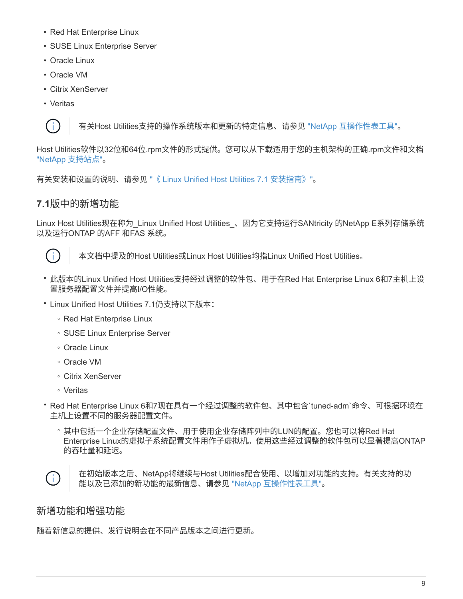- Red Hat Enterprise Linux
- SUSE Linux Enterprise Server
- Oracle Linux
- Oracle VM
- Citrix XenServer
- Veritas

 $(\dagger)$ 

有关Host Utilities支持的操作系统版本和更新的特定信息、请参见 ["NetApp](https://mysupport.netapp.com/matrix/imt.jsp?components=65623;64703;&solution=1&isHWU&src=IMT) [互操作性表工具](https://mysupport.netapp.com/matrix/imt.jsp?components=65623;64703;&solution=1&isHWU&src=IMT)["](https://mysupport.netapp.com/matrix/imt.jsp?components=65623;64703;&solution=1&isHWU&src=IMT)。

Host Utilities软件以32位和64位.rpm文件的形式提供。您可以从下载适用于您的主机架构的正确.rpm文件和文档 ["NetApp](https://mysupport.netapp.com/site/) [支持站点](https://mysupport.netapp.com/site/)["](https://mysupport.netapp.com/site/)。

有关安装和设置的说明、请参见 ["](https://docs.netapp.com/us-en/ontap-sanhost/hu_luhu_71.html)[《](https://docs.netapp.com/us-en/ontap-sanhost/hu_luhu_71.html) [Linux Unified Host Utilities 7.1](https://docs.netapp.com/us-en/ontap-sanhost/hu_luhu_71.html) [安装指南》](https://docs.netapp.com/us-en/ontap-sanhost/hu_luhu_71.html)["](https://docs.netapp.com/us-en/ontap-sanhost/hu_luhu_71.html)。

### **7.1**版中的新增功能

Linux Host Utilities现在称为 Linux Unified Host Utilities 、因为它支持运行SANtricity 的NetApp E系列存储系统 以及运行ONTAP 的AFF 和FAS 系统。



本文档中提及的Host Utilities或Linux Host Utilities均指Linux Unified Host Utilities。

- 此版本的Linux Unified Host Utilities支持经过调整的软件包、用于在Red Hat Enterprise Linux 6和7主机上设 置服务器配置文件并提高I/O性能。
- Linux Unified Host Utilities 7.1仍支持以下版本:
	- Red Hat Enterprise Linux
	- SUSE Linux Enterprise Server
	- Oracle Linux
	- Oracle VM
	- Citrix XenServer
	- Veritas
- Red Hat Enterprise Linux 6和7现在具有一个经过调整的软件包、其中包含`tuned-adm`命令、可根据环境在 主机上设置不同的服务器配置文件。
	- 其中包括一个企业存储配置文件、用于使用企业存储阵列中的LUN的配置。您也可以将Red Hat Enterprise Linux的虚拟子系统配置文件用作子虚拟机。使用这些经过调整的软件包可以显著提高ONTAP 的吞吐量和延迟。



在初始版本之后、NetApp将继续与Host Utilities配合使用、以增加对功能的支持。有关支持的功 能以及已添加的新功能的最新信息、请参见 ["NetApp](https://mysupport.netapp.com/matrix/imt.jsp?components=65623;64703;&solution=1&isHWU&src=IMT) [互操作性表工具](https://mysupport.netapp.com/matrix/imt.jsp?components=65623;64703;&solution=1&isHWU&src=IMT)["](https://mysupport.netapp.com/matrix/imt.jsp?components=65623;64703;&solution=1&isHWU&src=IMT)。

## 新增功能和增强功能

随着新信息的提供、发行说明会在不同产品版本之间进行更新。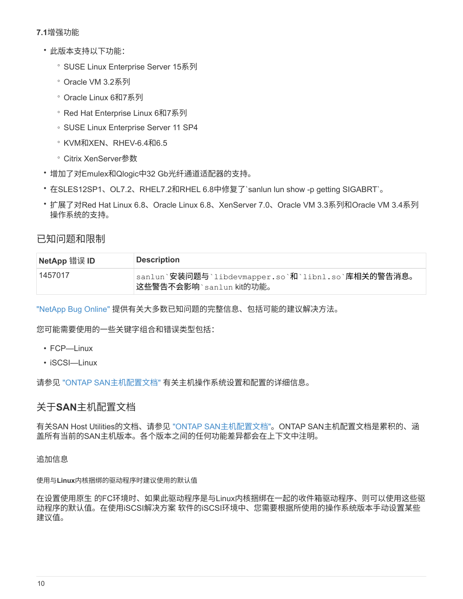#### **7.1**增强功能

- 此版本支持以下功能:
	- SUSE Linux Enterprise Server 15系列
	- Oracle VM 3.2系列
	- Oracle Linux 6和7系列
	- Red Hat Enterprise Linux 6和7系列
	- SUSE Linux Enterprise Server 11 SP4
	- KVM和XEN、RHEV-6.4和6.5
	- Citrix XenServer参数
- 增加了对Emulex和Qlogic中32 Gb光纤通道适配器的支持。
- 在SLES12SP1、OL7.2、RHEL7.2和RHEL 6.8中修复了`sanlun lun show -p getting SIGABRT`。
- 扩展了对Red Hat Linux 6.8、Oracle Linux 6.8、XenServer 7.0、Oracle VM 3.3系列和Oracle VM 3.4系列 操作系统的支持。

### 已知问题和限制

| <b>NetApp 错误 ID</b> | <b>Description</b>                                                            |
|---------------------|-------------------------------------------------------------------------------|
| 1457017             | sanlun`安装问题与`libdevmapper.so`和`libnl.so`库相关的警告消息。<br>这些警告不会影响 `sanlun kit的功能。 |

["NetApp Bug Online"](https://mysupport.netapp.com/site/bugs-online/product) 提供有关大多数已知问题的完整信息、包括可能的建议解决方法。

您可能需要使用的一些关键字组合和错误类型包括:

- FCP—Linux
- iSCSI—Linux

请参见 ["ONTAP SAN](https://docs.netapp.com/us-en/ontap-sanhost/index.html)[主机配置文档](https://docs.netapp.com/us-en/ontap-sanhost/index.html)["](https://docs.netapp.com/us-en/ontap-sanhost/index.html) 有关主机操作系统设置和配置的详细信息。

#### 关于**SAN**主机配置文档

有关SAN Host Utilities的文档、请参见 ["ONTAP SAN](https://docs.netapp.com/us-en/ontap-sanhost/index.html)[主机配置文档](https://docs.netapp.com/us-en/ontap-sanhost/index.html)["](https://docs.netapp.com/us-en/ontap-sanhost/index.html)。ONTAP SAN主机配置文档是累积的、涵 盖所有当前的SAN主机版本。各个版本之间的任何功能差异都会在上下文中注明。

追加信息

使用与**Linux**内核捆绑的驱动程序时建议使用的默认值

在设置使用原生 的FC环境时、如果此驱动程序是与Linux内核捆绑在一起的收件箱驱动程序、则可以使用这些驱 动程序的默认值。在使用iSCSI解决方案 软件的iSCSI环境中、您需要根据所使用的操作系统版本手动设置某些 建议值。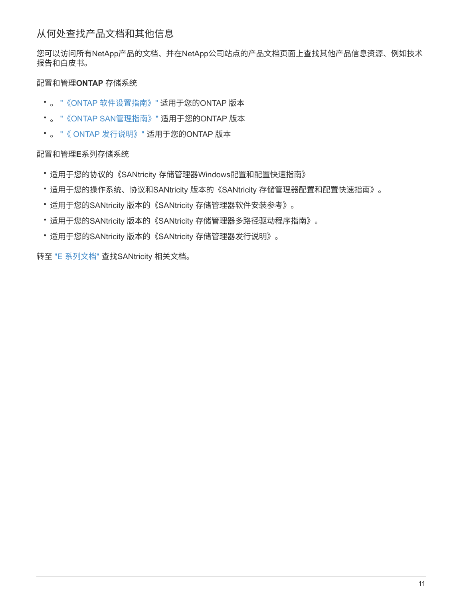您可以访问所有NetApp产品的文档、并在NetApp公司站点的产品文档页面上查找其他产品信息资源、例如技术 报告和白皮书。

#### 配置和管理**ONTAP** 存储系统

- 。 ["](https://docs.netapp.com/us-en/ontap/setup-upgrade/index.html)[《](https://docs.netapp.com/us-en/ontap/setup-upgrade/index.html)[ONTAP](https://docs.netapp.com/us-en/ontap/setup-upgrade/index.html) [软件设置指南》](https://docs.netapp.com/us-en/ontap/setup-upgrade/index.html)["](https://docs.netapp.com/us-en/ontap/setup-upgrade/index.html) 适用于您的ONTAP 版本
- 。 ["](https://docs.netapp.com/us-en/ontap/san-management/index.html)[《](https://docs.netapp.com/us-en/ontap/san-management/index.html)[ONTAP SAN](https://docs.netapp.com/us-en/ontap/san-management/index.html)[管理指南》](https://docs.netapp.com/us-en/ontap/san-management/index.html)["](https://docs.netapp.com/us-en/ontap/san-management/index.html) 适用于您的ONTAP 版本
- 。 ["](https://library.netapp.com/ecm/ecm_download_file/ECMLP2492508)[《](https://library.netapp.com/ecm/ecm_download_file/ECMLP2492508) [ONTAP](https://library.netapp.com/ecm/ecm_download_file/ECMLP2492508) [发行说明》](https://library.netapp.com/ecm/ecm_download_file/ECMLP2492508)["](https://library.netapp.com/ecm/ecm_download_file/ECMLP2492508) 适用于您的ONTAP 版本

#### 配置和管理**E**系列存储系统

- 适用于您的协议的《SANtricity 存储管理器Windows配置和配置快速指南》
- 适用于您的操作系统、协议和SANtricity 版本的《SANtricity 存储管理器配置和配置快速指南》。
- 适用于您的SANtricity 版本的《SANtricity 存储管理器软件安装参考》。
- 适用于您的SANtricity 版本的《SANtricity 存储管理器多路径驱动程序指南》。
- 适用于您的SANtricity 版本的《SANtricity 存储管理器发行说明》。

转至 ["E](https://docs.netapp.com/us-en/e-series/getting-started/index.html) [系列文档](https://docs.netapp.com/us-en/e-series/getting-started/index.html)["](https://docs.netapp.com/us-en/e-series/getting-started/index.html) 查找SANtricity 相关文档。